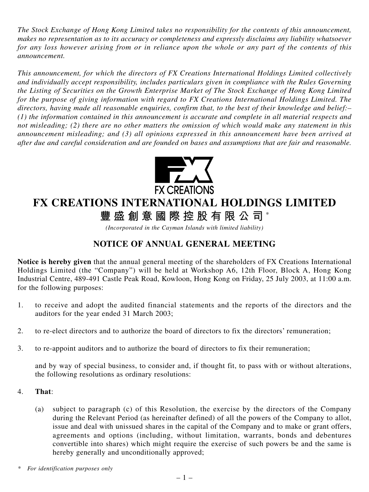*The Stock Exchange of Hong Kong Limited takes no responsibility for the contents of this announcement, makes no representation as to its accuracy or completeness and expressly disclaims any liability whatsoever for any loss however arising from or in reliance upon the whole or any part of the contents of this announcement.*

*This announcement, for which the directors of FX Creations International Holdings Limited collectively and individually accept responsibility, includes particulars given in compliance with the Rules Governing the Listing of Securities on the Growth Enterprise Market of The Stock Exchange of Hong Kong Limited for the purpose of giving information with regard to FX Creations International Holdings Limited. The directors, having made all reasonable enquiries, confirm that, to the best of their knowledge and belief:– (1) the information contained in this announcement is accurate and complete in all material respects and not misleading; (2) there are no other matters the omission of which would make any statement in this announcement misleading; and (3) all opinions expressed in this announcement have been arrived at after due and careful consideration and are founded on bases and assumptions that are fair and reasonable.*



## **FX CREATIONS INTERNATIONAL HOLDINGS LIMITED**

**豐盛創意國際控股有限公司** \*

*(Incorporated in the Cayman Islands with limited liability)*

## **NOTICE OF ANNUAL GENERAL MEETING**

**Notice is hereby given** that the annual general meeting of the shareholders of FX Creations International Holdings Limited (the "Company") will be held at Workshop A6, 12th Floor, Block A, Hong Kong Industrial Centre, 489-491 Castle Peak Road, Kowloon, Hong Kong on Friday, 25 July 2003, at 11:00 a.m. for the following purposes:

- 1. to receive and adopt the audited financial statements and the reports of the directors and the auditors for the year ended 31 March 2003;
- 2. to re-elect directors and to authorize the board of directors to fix the directors' remuneration;
- 3. to re-appoint auditors and to authorize the board of directors to fix their remuneration;

and by way of special business, to consider and, if thought fit, to pass with or without alterations, the following resolutions as ordinary resolutions:

- 4. **That**:
	- (a) subject to paragraph (c) of this Resolution, the exercise by the directors of the Company during the Relevant Period (as hereinafter defined) of all the powers of the Company to allot, issue and deal with unissued shares in the capital of the Company and to make or grant offers, agreements and options (including, without limitation, warrants, bonds and debentures convertible into shares) which might require the exercise of such powers be and the same is hereby generally and unconditionally approved;

*<sup>\*</sup> For identification purposes only*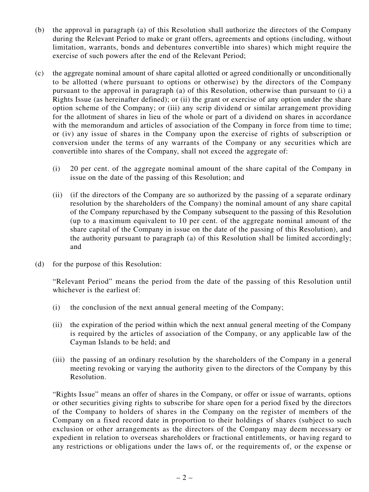- (b) the approval in paragraph (a) of this Resolution shall authorize the directors of the Company during the Relevant Period to make or grant offers, agreements and options (including, without limitation, warrants, bonds and debentures convertible into shares) which might require the exercise of such powers after the end of the Relevant Period;
- (c) the aggregate nominal amount of share capital allotted or agreed conditionally or unconditionally to be allotted (where pursuant to options or otherwise) by the directors of the Company pursuant to the approval in paragraph (a) of this Resolution, otherwise than pursuant to (i) a Rights Issue (as hereinafter defined); or (ii) the grant or exercise of any option under the share option scheme of the Company; or (iii) any scrip dividend or similar arrangement providing for the allotment of shares in lieu of the whole or part of a dividend on shares in accordance with the memorandum and articles of association of the Company in force from time to time; or (iv) any issue of shares in the Company upon the exercise of rights of subscription or conversion under the terms of any warrants of the Company or any securities which are convertible into shares of the Company, shall not exceed the aggregate of:
	- (i) 20 per cent. of the aggregate nominal amount of the share capital of the Company in issue on the date of the passing of this Resolution; and
	- (ii) (if the directors of the Company are so authorized by the passing of a separate ordinary resolution by the shareholders of the Company) the nominal amount of any share capital of the Company repurchased by the Company subsequent to the passing of this Resolution (up to a maximum equivalent to 10 per cent. of the aggregate nominal amount of the share capital of the Company in issue on the date of the passing of this Resolution), and the authority pursuant to paragraph (a) of this Resolution shall be limited accordingly; and
- (d) for the purpose of this Resolution:

"Relevant Period" means the period from the date of the passing of this Resolution until whichever is the earliest of:

- (i) the conclusion of the next annual general meeting of the Company;
- (ii) the expiration of the period within which the next annual general meeting of the Company is required by the articles of association of the Company, or any applicable law of the Cayman Islands to be held; and
- (iii) the passing of an ordinary resolution by the shareholders of the Company in a general meeting revoking or varying the authority given to the directors of the Company by this Resolution.

"Rights Issue" means an offer of shares in the Company, or offer or issue of warrants, options or other securities giving rights to subscribe for share open for a period fixed by the directors of the Company to holders of shares in the Company on the register of members of the Company on a fixed record date in proportion to their holdings of shares (subject to such exclusion or other arrangements as the directors of the Company may deem necessary or expedient in relation to overseas shareholders or fractional entitlements, or having regard to any restrictions or obligations under the laws of, or the requirements of, or the expense or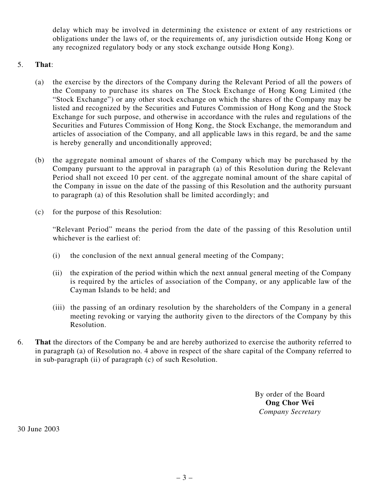delay which may be involved in determining the existence or extent of any restrictions or obligations under the laws of, or the requirements of, any jurisdiction outside Hong Kong or any recognized regulatory body or any stock exchange outside Hong Kong).

## 5. **That**:

- (a) the exercise by the directors of the Company during the Relevant Period of all the powers of the Company to purchase its shares on The Stock Exchange of Hong Kong Limited (the "Stock Exchange") or any other stock exchange on which the shares of the Company may be listed and recognized by the Securities and Futures Commission of Hong Kong and the Stock Exchange for such purpose, and otherwise in accordance with the rules and regulations of the Securities and Futures Commission of Hong Kong, the Stock Exchange, the memorandum and articles of association of the Company, and all applicable laws in this regard, be and the same is hereby generally and unconditionally approved;
- (b) the aggregate nominal amount of shares of the Company which may be purchased by the Company pursuant to the approval in paragraph (a) of this Resolution during the Relevant Period shall not exceed 10 per cent. of the aggregate nominal amount of the share capital of the Company in issue on the date of the passing of this Resolution and the authority pursuant to paragraph (a) of this Resolution shall be limited accordingly; and
- (c) for the purpose of this Resolution:

"Relevant Period" means the period from the date of the passing of this Resolution until whichever is the earliest of:

- (i) the conclusion of the next annual general meeting of the Company;
- (ii) the expiration of the period within which the next annual general meeting of the Company is required by the articles of association of the Company, or any applicable law of the Cayman Islands to be held; and
- (iii) the passing of an ordinary resolution by the shareholders of the Company in a general meeting revoking or varying the authority given to the directors of the Company by this Resolution.
- 6. **That** the directors of the Company be and are hereby authorized to exercise the authority referred to in paragraph (a) of Resolution no. 4 above in respect of the share capital of the Company referred to in sub-paragraph (ii) of paragraph (c) of such Resolution.

By order of the Board **Ong Chor Wei** *Company Secretary*

30 June 2003